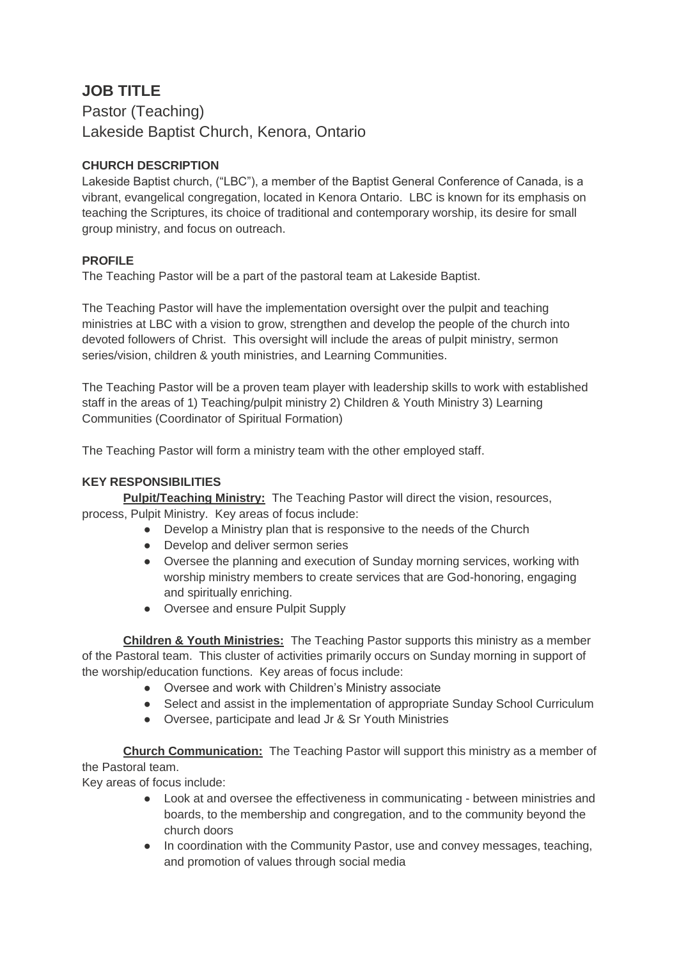# **JOB TITLE**

Pastor (Teaching) Lakeside Baptist Church, Kenora, Ontario

## **CHURCH DESCRIPTION**

Lakeside Baptist church, ("LBC"), a member of the Baptist General Conference of Canada, is a vibrant, evangelical congregation, located in Kenora Ontario. LBC is known for its emphasis on teaching the Scriptures, its choice of traditional and contemporary worship, its desire for small group ministry, and focus on outreach.

### **PROFILE**

The Teaching Pastor will be a part of the pastoral team at Lakeside Baptist.

The Teaching Pastor will have the implementation oversight over the pulpit and teaching ministries at LBC with a vision to grow, strengthen and develop the people of the church into devoted followers of Christ. This oversight will include the areas of pulpit ministry, sermon series/vision, children & youth ministries, and Learning Communities.

The Teaching Pastor will be a proven team player with leadership skills to work with established staff in the areas of 1) Teaching/pulpit ministry 2) Children & Youth Ministry 3) Learning Communities (Coordinator of Spiritual Formation)

The Teaching Pastor will form a ministry team with the other employed staff.

## **KEY RESPONSIBILITIES**

**Pulpit/Teaching Ministry:** The Teaching Pastor will direct the vision, resources, process, Pulpit Ministry. Key areas of focus include:

- Develop a Ministry plan that is responsive to the needs of the Church
- Develop and deliver sermon series
- Oversee the planning and execution of Sunday morning services, working with worship ministry members to create services that are God-honoring, engaging and spiritually enriching.
- Oversee and ensure Pulpit Supply

**Children & Youth Ministries:** The Teaching Pastor supports this ministry as a member of the Pastoral team. This cluster of activities primarily occurs on Sunday morning in support of the worship/education functions. Key areas of focus include:

- Oversee and work with Children's Ministry associate
- Select and assist in the implementation of appropriate Sunday School Curriculum
- Oversee, participate and lead Jr & Sr Youth Ministries

**Church Communication:** The Teaching Pastor will support this ministry as a member of the Pastoral team.

Key areas of focus include:

- Look at and oversee the effectiveness in communicating between ministries and boards, to the membership and congregation, and to the community beyond the church doors
- In coordination with the Community Pastor, use and convey messages, teaching, and promotion of values through social media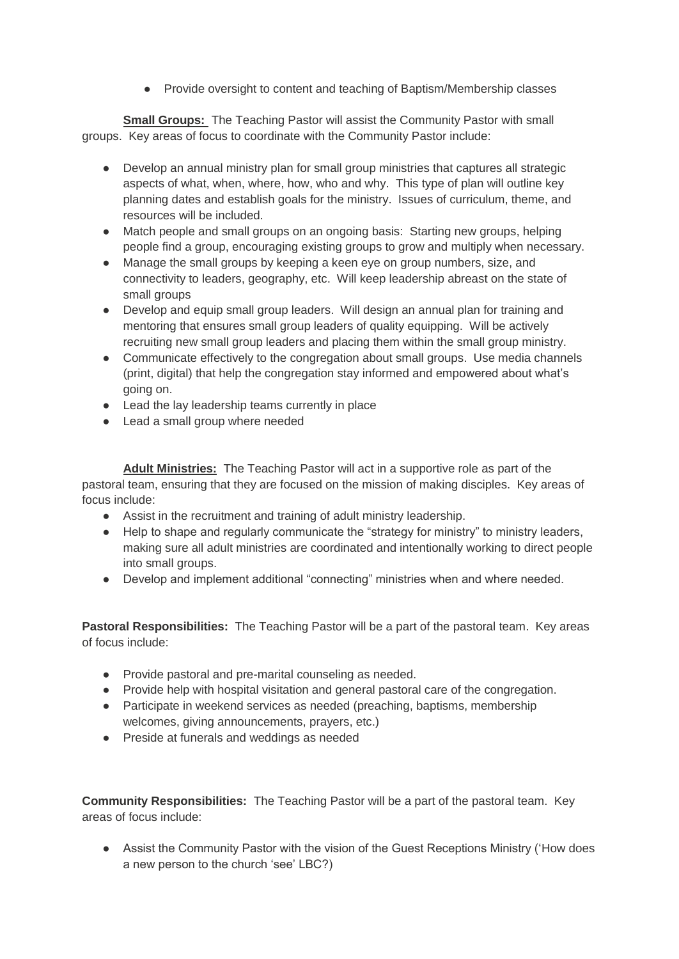● Provide oversight to content and teaching of Baptism/Membership classes

**Small Groups:** The Teaching Pastor will assist the Community Pastor with small groups. Key areas of focus to coordinate with the Community Pastor include:

- Develop an annual ministry plan for small group ministries that captures all strategic aspects of what, when, where, how, who and why. This type of plan will outline key planning dates and establish goals for the ministry. Issues of curriculum, theme, and resources will be included.
- Match people and small groups on an ongoing basis: Starting new groups, helping people find a group, encouraging existing groups to grow and multiply when necessary.
- Manage the small groups by keeping a keen eye on group numbers, size, and connectivity to leaders, geography, etc. Will keep leadership abreast on the state of small groups
- Develop and equip small group leaders. Will design an annual plan for training and mentoring that ensures small group leaders of quality equipping. Will be actively recruiting new small group leaders and placing them within the small group ministry.
- Communicate effectively to the congregation about small groups. Use media channels (print, digital) that help the congregation stay informed and empowered about what's going on.
- Lead the lay leadership teams currently in place
- Lead a small group where needed

**Adult Ministries:** The Teaching Pastor will act in a supportive role as part of the pastoral team, ensuring that they are focused on the mission of making disciples. Key areas of focus include:

- Assist in the recruitment and training of adult ministry leadership.
- Help to shape and regularly communicate the "strategy for ministry" to ministry leaders, making sure all adult ministries are coordinated and intentionally working to direct people into small groups.
- Develop and implement additional "connecting" ministries when and where needed.

**Pastoral Responsibilities:** The Teaching Pastor will be a part of the pastoral team. Key areas of focus include:

- Provide pastoral and pre-marital counseling as needed.
- Provide help with hospital visitation and general pastoral care of the congregation.
- Participate in weekend services as needed (preaching, baptisms, membership welcomes, giving announcements, prayers, etc.)
- Preside at funerals and weddings as needed

**Community Responsibilities:** The Teaching Pastor will be a part of the pastoral team. Key areas of focus include:

● Assist the Community Pastor with the vision of the Guest Receptions Ministry ('How does a new person to the church 'see' LBC?)